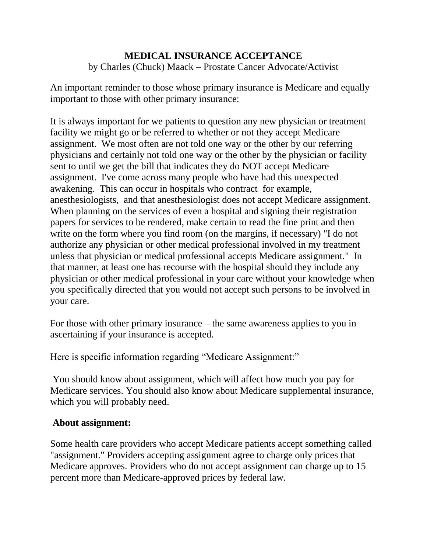## **MEDICAL INSURANCE ACCEPTANCE**

by Charles (Chuck) Maack – Prostate Cancer Advocate/Activist

An important reminder to those whose primary insurance is Medicare and equally important to those with other primary insurance:

It is always important for we patients to question any new physician or treatment facility we might go or be referred to whether or not they accept Medicare assignment. We most often are not told one way or the other by our referring physicians and certainly not told one way or the other by the physician or facility sent to until we get the bill that indicates they do NOT accept Medicare assignment. I've come across many people who have had this unexpected awakening. This can occur in hospitals who contract for example, anesthesiologists, and that anesthesiologist does not accept Medicare assignment. When planning on the services of even a hospital and signing their registration papers for services to be rendered, make certain to read the fine print and then write on the form where you find room (on the margins, if necessary) "I do not authorize any physician or other medical professional involved in my treatment unless that physician or medical professional accepts Medicare assignment." In that manner, at least one has recourse with the hospital should they include any physician or other medical professional in your care without your knowledge when you specifically directed that you would not accept such persons to be involved in your care.

For those with other primary insurance – the same awareness applies to you in ascertaining if your insurance is accepted.

Here is specific information regarding "Medicare Assignment:"

You should know about assignment, which will affect how much you pay for Medicare services. You should also know about Medicare supplemental insurance, which you will probably need.

## **About assignment:**

Some health care providers who accept Medicare patients accept something called "assignment." Providers accepting assignment agree to charge only prices that Medicare approves. Providers who do not accept assignment can charge up to 15 percent more than Medicare-approved prices by federal law.